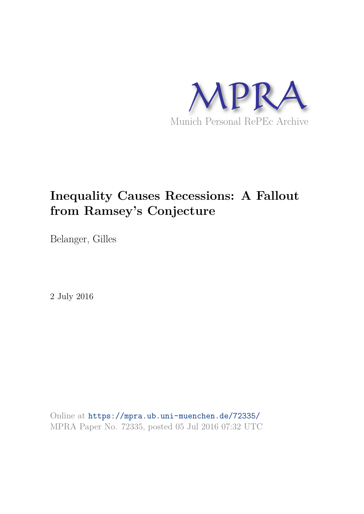

# **Inequality Causes Recessions: A Fallout from Ramsey's Conjecture**

Belanger, Gilles

2 July 2016

Online at https://mpra.ub.uni-muenchen.de/72335/ MPRA Paper No. 72335, posted 05 Jul 2016 07:32 UTC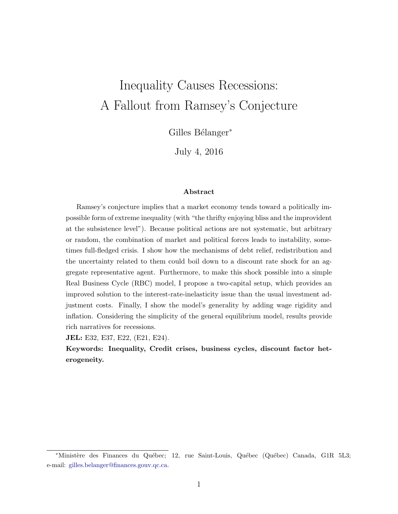# Inequality Causes Recessions: A Fallout from Ramsey's Conjecture

Gilles Bélanger<sup>∗</sup>

July 4, 2016

#### Abstract

Ramsey's conjecture implies that a market economy tends toward a politically impossible form of extreme inequality (with "the thrifty enjoying bliss and the improvident at the subsistence level"). Because political actions are not systematic, but arbitrary or random, the combination of market and political forces leads to instability, sometimes full-fledged crisis. I show how the mechanisms of debt relief, redistribution and the uncertainty related to them could boil down to a discount rate shock for an aggregate representative agent. Furthermore, to make this shock possible into a simple Real Business Cycle (RBC) model, I propose a two-capital setup, which provides an improved solution to the interest-rate-inelasticity issue than the usual investment adjustment costs. Finally, I show the model's generality by adding wage rigidity and inflation. Considering the simplicity of the general equilibrium model, results provide rich narratives for recessions.

JEL: E32, E37, E22, (E21, E24).

Keywords: Inequality, Credit crises, business cycles, discount factor heterogeneity.

<sup>\*</sup>Ministère des Finances du Québec; 12, rue Saint-Louis, Québec (Québec) Canada, G1R 5L3; e-mail: gilles.belanger@finances.gouv.qc.ca.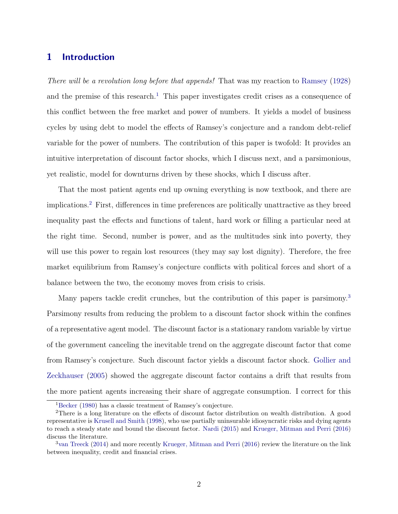# 1 Introduction

There will be a revolution long before that appends! That was my reaction to Ramsey (1928) and the premise of this research.<sup>1</sup> This paper investigates credit crises as a consequence of this conflict between the free market and power of numbers. It yields a model of business cycles by using debt to model the effects of Ramsey's conjecture and a random debt-relief variable for the power of numbers. The contribution of this paper is twofold: It provides an intuitive interpretation of discount factor shocks, which I discuss next, and a parsimonious, yet realistic, model for downturns driven by these shocks, which I discuss after.

That the most patient agents end up owning everything is now textbook, and there are implications.<sup>2</sup> First, differences in time preferences are politically unattractive as they breed inequality past the effects and functions of talent, hard work or filling a particular need at the right time. Second, number is power, and as the multitudes sink into poverty, they will use this power to regain lost resources (they may say lost dignity). Therefore, the free market equilibrium from Ramsey's conjecture conflicts with political forces and short of a balance between the two, the economy moves from crisis to crisis.

Many papers tackle credit crunches, but the contribution of this paper is parsimony.<sup>3</sup> Parsimony results from reducing the problem to a discount factor shock within the confines of a representative agent model. The discount factor is a stationary random variable by virtue of the government canceling the inevitable trend on the aggregate discount factor that come from Ramsey's conjecture. Such discount factor yields a discount factor shock. Gollier and Zeckhauser (2005) showed the aggregate discount factor contains a drift that results from the more patient agents increasing their share of aggregate consumption. I correct for this

<sup>1</sup>Becker (1980) has a classic treatment of Ramsey's conjecture.

<sup>2</sup>There is a long literature on the effects of discount factor distribution on wealth distribution. A good representative is Krusell and Smith (1998), who use partially uninsurable idiosyncratic risks and dying agents to reach a steady state and bound the discount factor. Nardi (2015) and Krueger, Mitman and Perri (2016) discuss the literature.

 $3$ van Treeck (2014) and more recently Krueger, Mitman and Perri (2016) review the literature on the link between inequality, credit and financial crises.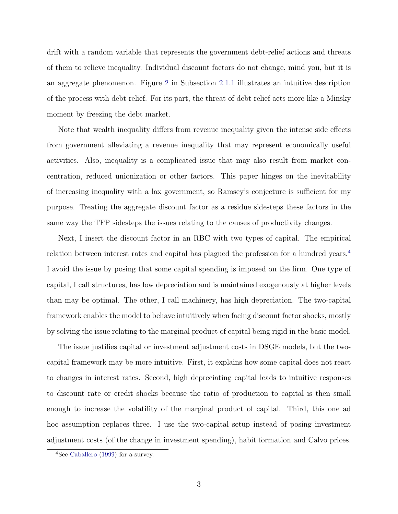drift with a random variable that represents the government debt-relief actions and threats of them to relieve inequality. Individual discount factors do not change, mind you, but it is an aggregate phenomenon. Figure 2 in Subsection 2.1.1 illustrates an intuitive description of the process with debt relief. For its part, the threat of debt relief acts more like a Minsky moment by freezing the debt market.

Note that wealth inequality differs from revenue inequality given the intense side effects from government alleviating a revenue inequality that may represent economically useful activities. Also, inequality is a complicated issue that may also result from market concentration, reduced unionization or other factors. This paper hinges on the inevitability of increasing inequality with a lax government, so Ramsey's conjecture is sufficient for my purpose. Treating the aggregate discount factor as a residue sidesteps these factors in the same way the TFP sidesteps the issues relating to the causes of productivity changes.

Next, I insert the discount factor in an RBC with two types of capital. The empirical relation between interest rates and capital has plagued the profession for a hundred years.<sup>4</sup> I avoid the issue by posing that some capital spending is imposed on the firm. One type of capital, I call structures, has low depreciation and is maintained exogenously at higher levels than may be optimal. The other, I call machinery, has high depreciation. The two-capital framework enables the model to behave intuitively when facing discount factor shocks, mostly by solving the issue relating to the marginal product of capital being rigid in the basic model.

The issue justifies capital or investment adjustment costs in DSGE models, but the twocapital framework may be more intuitive. First, it explains how some capital does not react to changes in interest rates. Second, high depreciating capital leads to intuitive responses to discount rate or credit shocks because the ratio of production to capital is then small enough to increase the volatility of the marginal product of capital. Third, this one ad hoc assumption replaces three. I use the two-capital setup instead of posing investment adjustment costs (of the change in investment spending), habit formation and Calvo prices.

<sup>&</sup>lt;sup>4</sup>See Caballero (1999) for a survey.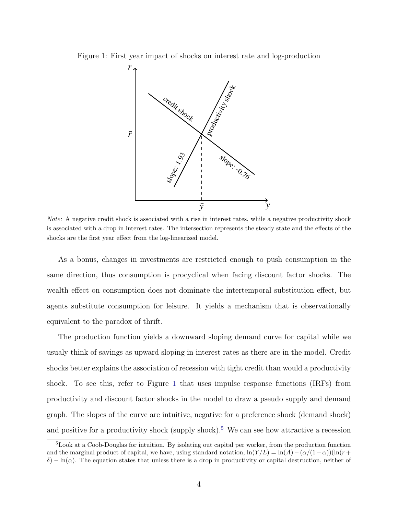Figure 1: First year impact of shocks on interest rate and log-production



Note: A negative credit shock is associated with a rise in interest rates, while a negative productivity shock is associated with a drop in interest rates. The intersection represents the steady state and the effects of the shocks are the first year effect from the log-linearized model.

As a bonus, changes in investments are restricted enough to push consumption in the same direction, thus consumption is procyclical when facing discount factor shocks. The wealth effect on consumption does not dominate the intertemporal substitution effect, but agents substitute consumption for leisure. It yields a mechanism that is observationally equivalent to the paradox of thrift.

The production function yields a downward sloping demand curve for capital while we usualy think of savings as upward sloping in interest rates as there are in the model. Credit shocks better explains the association of recession with tight credit than would a productivity shock. To see this, refer to Figure 1 that uses impulse response functions (IRFs) from productivity and discount factor shocks in the model to draw a pseudo supply and demand graph. The slopes of the curve are intuitive, negative for a preference shock (demand shock) and positive for a productivity shock (supply shock).<sup>5</sup> We can see how attractive a recession

<sup>5</sup>Look at a Coob-Douglas for intuition. By isolating out capital per worker, from the production function and the marginal product of capital, we have, using standard notation,  $\ln(Y/L) = \ln(A) - (\alpha/(1-\alpha))(\ln(r+\alpha))$  $δ$ ) – ln(α). The equation states that unless there is a drop in productivity or capital destruction, neither of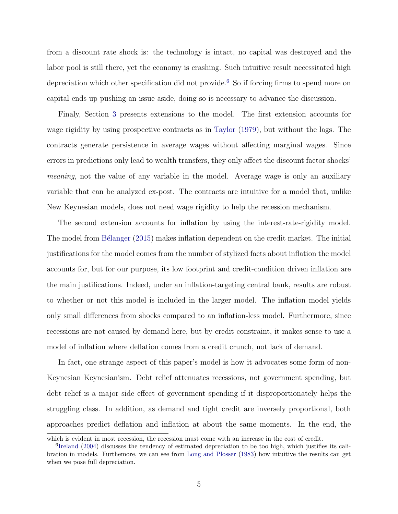from a discount rate shock is: the technology is intact, no capital was destroyed and the labor pool is still there, yet the economy is crashing. Such intuitive result necessitated high depreciation which other specification did not provide.<sup>6</sup> So if forcing firms to spend more on capital ends up pushing an issue aside, doing so is necessary to advance the discussion.

Finaly, Section 3 presents extensions to the model. The first extension accounts for wage rigidity by using prospective contracts as in Taylor (1979), but without the lags. The contracts generate persistence in average wages without affecting marginal wages. Since errors in predictions only lead to wealth transfers, they only affect the discount factor shocks' meaning, not the value of any variable in the model. Average wage is only an auxiliary variable that can be analyzed ex-post. The contracts are intuitive for a model that, unlike New Keynesian models, does not need wage rigidity to help the recession mechanism.

The second extension accounts for inflation by using the interest-rate-rigidity model. The model from Bélanger (2015) makes inflation dependent on the credit market. The initial justifications for the model comes from the number of stylized facts about inflation the model accounts for, but for our purpose, its low footprint and credit-condition driven inflation are the main justifications. Indeed, under an inflation-targeting central bank, results are robust to whether or not this model is included in the larger model. The inflation model yields only small differences from shocks compared to an inflation-less model. Furthermore, since recessions are not caused by demand here, but by credit constraint, it makes sense to use a model of inflation where deflation comes from a credit crunch, not lack of demand.

In fact, one strange aspect of this paper's model is how it advocates some form of non-Keynesian Keynesianism. Debt relief attenuates recessions, not government spending, but debt relief is a major side effect of government spending if it disproportionately helps the struggling class. In addition, as demand and tight credit are inversely proportional, both approaches predict deflation and inflation at about the same moments. In the end, the

which is evident in most recession, the recession must come with an increase in the cost of credit.

<sup>&</sup>lt;sup>6</sup>Ireland (2004) discusses the tendency of estimated depreciation to be too high, which justifies its calibration in models. Furthemore, we can see from Long and Plosser (1983) how intuitive the results can get when we pose full depreciation.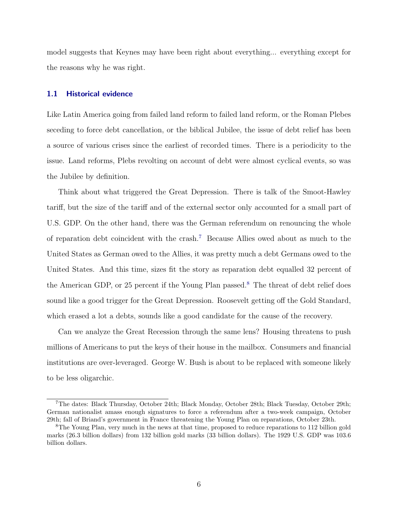model suggests that Keynes may have been right about everything... everything except for the reasons why he was right.

#### 1.1 Historical evidence

Like Latin America going from failed land reform to failed land reform, or the Roman Plebes seceding to force debt cancellation, or the biblical Jubilee, the issue of debt relief has been a source of various crises since the earliest of recorded times. There is a periodicity to the issue. Land reforms, Plebs revolting on account of debt were almost cyclical events, so was the Jubilee by definition.

Think about what triggered the Great Depression. There is talk of the Smoot-Hawley tariff, but the size of the tariff and of the external sector only accounted for a small part of U.S. GDP. On the other hand, there was the German referendum on renouncing the whole of reparation debt coincident with the crash.<sup>7</sup> Because Allies owed about as much to the United States as German owed to the Allies, it was pretty much a debt Germans owed to the United States. And this time, sizes fit the story as reparation debt equalled 32 percent of the American GDP, or 25 percent if the Young Plan passed.<sup>8</sup> The threat of debt relief does sound like a good trigger for the Great Depression. Roosevelt getting off the Gold Standard, which erased a lot a debts, sounds like a good candidate for the cause of the recovery.

Can we analyze the Great Recession through the same lens? Housing threatens to push millions of Americans to put the keys of their house in the mailbox. Consumers and financial institutions are over-leveraged. George W. Bush is about to be replaced with someone likely to be less oligarchic.

<sup>7</sup>The dates: Black Thursday, October 24th; Black Monday, October 28th; Black Tuesday, October 29th; German nationalist amass enough signatures to force a referendum after a two-week campaign, October 29th; fall of Briand's government in France threatening the Young Plan on reparations, October 23th.

<sup>8</sup>The Young Plan, very much in the news at that time, proposed to reduce reparations to 112 billion gold marks (26.3 billion dollars) from 132 billion gold marks (33 billion dollars). The 1929 U.S. GDP was 103.6 billion dollars.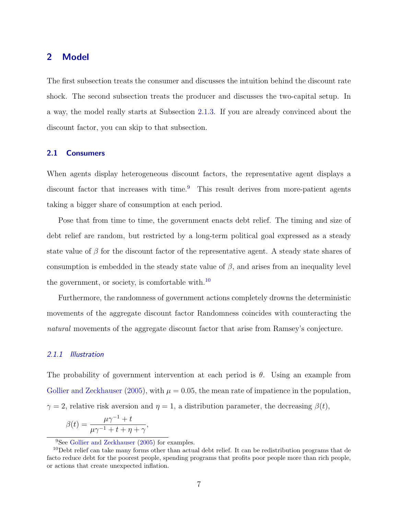# 2 Model

The first subsection treats the consumer and discusses the intuition behind the discount rate shock. The second subsection treats the producer and discusses the two-capital setup. In a way, the model really starts at Subsection 2.1.3. If you are already convinced about the discount factor, you can skip to that subsection.

## 2.1 Consumers

When agents display heterogeneous discount factors, the representative agent displays a discount factor that increases with time.<sup>9</sup> This result derives from more-patient agents taking a bigger share of consumption at each period.

Pose that from time to time, the government enacts debt relief. The timing and size of debt relief are random, but restricted by a long-term political goal expressed as a steady state value of  $\beta$  for the discount factor of the representative agent. A steady state shares of consumption is embedded in the steady state value of  $\beta$ , and arises from an inequality level the government, or society, is comfortable with. $^{10}$ 

Furthermore, the randomness of government actions completely drowns the deterministic movements of the aggregate discount factor Randomness coincides with counteracting the natural movements of the aggregate discount factor that arise from Ramsey's conjecture.

#### 2.1.1 Illustration

The probability of government intervention at each period is  $\theta$ . Using an example from Gollier and Zeckhauser (2005), with  $\mu = 0.05$ , the mean rate of impatience in the population,  $\gamma = 2$ , relative risk aversion and  $\eta = 1$ , a distribution parameter, the decreasing  $\beta(t)$ ,

$$
\beta(t) = \frac{\mu \gamma^{-1} + t}{\mu \gamma^{-1} + t + \eta + \gamma},
$$

<sup>&</sup>lt;sup>9</sup>See Gollier and Zeckhauser (2005) for examples.

 $10D$ ebt relief can take many forms other than actual debt relief. It can be redistribution programs that de facto reduce debt for the poorest people, spending programs that profits poor people more than rich people, or actions that create unexpected inflation.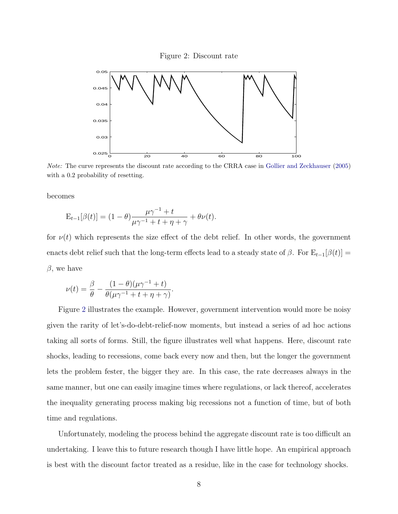Figure 2: Discount rate



Note: The curve represents the discount rate according to the CRRA case in Gollier and Zeckhauser (2005) with a  $0.2$  probability of resetting.

becomes

$$
\mathbf{E}_{t-1}[\beta(t)] = (1 - \theta) \frac{\mu \gamma^{-1} + t}{\mu \gamma^{-1} + t + \eta + \gamma} + \theta \nu(t).
$$

for  $\nu(t)$  which represents the size effect of the debt relief. In other words, the government enacts debt relief such that the long-term effects lead to a steady state of  $\beta$ . For  $E_{t-1}[\beta(t)] =$  $\beta$ , we have

$$
\nu(t) = \frac{\beta}{\theta} - \frac{(1-\theta)(\mu\gamma^{-1} + t)}{\theta(\mu\gamma^{-1} + t + \eta + \gamma)}.
$$

Figure 2 illustrates the example. However, government intervention would more be noisy given the rarity of let's-do-debt-relief-now moments, but instead a series of ad hoc actions taking all sorts of forms. Still, the figure illustrates well what happens. Here, discount rate shocks, leading to recessions, come back every now and then, but the longer the government lets the problem fester, the bigger they are. In this case, the rate decreases always in the same manner, but one can easily imagine times where regulations, or lack thereof, accelerates the inequality generating process making big recessions not a function of time, but of both time and regulations.

Unfortunately, modeling the process behind the aggregate discount rate is too difficult an undertaking. I leave this to future research though I have little hope. An empirical approach is best with the discount factor treated as a residue, like in the case for technology shocks.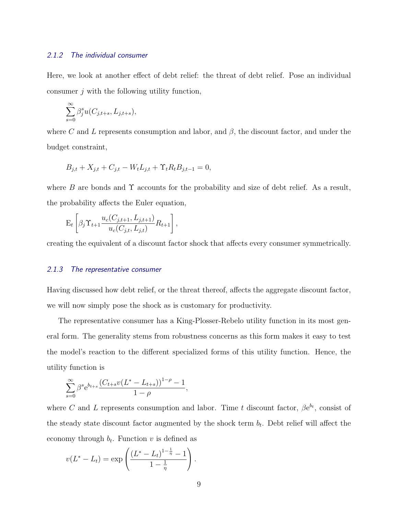## 2.1.2 The individual consumer

Here, we look at another effect of debt relief: the threat of debt relief. Pose an individual consumer j with the following utility function,

$$
\sum_{s=0}^{\infty} \beta_j^s u(C_{j,t+s}, L_{j,t+s}),
$$

where C and L represents consumption and labor, and  $\beta$ , the discount factor, and under the budget constraint,

$$
B_{j,t} + X_{j,t} + C_{j,t} - W_t L_{j,t} + \Upsilon_t R_t B_{j,t-1} = 0,
$$

where B are bonds and  $\Upsilon$  accounts for the probability and size of debt relief. As a result, the probability affects the Euler equation,

$$
\mathbf{E}_{t}\left[\beta_{j}\Upsilon_{t+1}\frac{u_{c}(C_{j,t+1}, L_{j,t+1})}{u_{c}(C_{j,t}, L_{j,t})}R_{t+1}\right],
$$

creating the equivalent of a discount factor shock that affects every consumer symmetrically.

#### 2.1.3 The representative consumer

Having discussed how debt relief, or the threat thereof, affects the aggregate discount factor, we will now simply pose the shock as is customary for productivity.

The representative consumer has a King-Plosser-Rebelo utility function in its most general form. The generality stems from robustness concerns as this form makes it easy to test the model's reaction to the different specialized forms of this utility function. Hence, the utility function is

$$
\sum_{s=0}^{\infty} \beta^s e^{b_{t+s}} \frac{(C_{t+s}v(L^*-L_{t+s}))^{1-\rho}-1}{1-\rho},
$$

where C and L represents consumption and labor. Time t discount factor,  $\beta e^{b_t}$ , consist of the steady state discount factor augmented by the shock term  $b_t$ . Debt relief will affect the economy through  $b_t$ . Function v is defined as

$$
v(L^* - L_t) = \exp\left(\frac{(L^* - L_t)^{1 - \frac{1}{\eta}} - 1}{1 - \frac{1}{\eta}}\right).
$$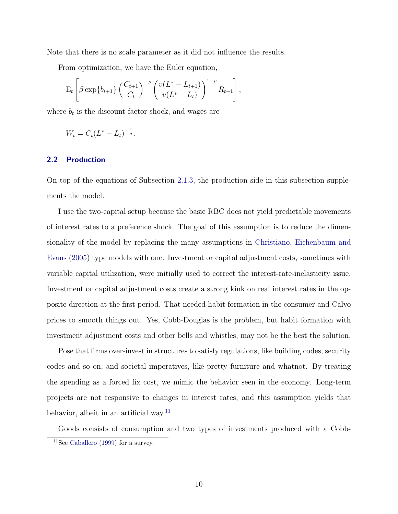Note that there is no scale parameter as it did not influence the results.

From optimization, we have the Euler equation,

$$
E_t \left[ \beta \exp\{b_{t+1}\} \left( \frac{C_{t+1}}{C_t} \right)^{-\rho} \left( \frac{v(L^* - L_{t+1})}{v(L^* - L_t)} \right)^{1-\rho} R_{t+1} \right],
$$

where  $b_t$  is the discount factor shock, and wages are

$$
W_t = C_t (L^* - L_t)^{-\frac{1}{\eta}}.
$$

#### 2.2 Production

On top of the equations of Subsection 2.1.3, the production side in this subsection supplements the model.

I use the two-capital setup because the basic RBC does not yield predictable movements of interest rates to a preference shock. The goal of this assumption is to reduce the dimensionality of the model by replacing the many assumptions in Christiano, Eichenbaum and Evans (2005) type models with one. Investment or capital adjustment costs, sometimes with variable capital utilization, were initially used to correct the interest-rate-inelasticity issue. Investment or capital adjustment costs create a strong kink on real interest rates in the opposite direction at the first period. That needed habit formation in the consumer and Calvo prices to smooth things out. Yes, Cobb-Douglas is the problem, but habit formation with investment adjustment costs and other bells and whistles, may not be the best the solution.

Pose that firms over-invest in structures to satisfy regulations, like building codes, security codes and so on, and societal imperatives, like pretty furniture and whatnot. By treating the spending as a forced fix cost, we mimic the behavior seen in the economy. Long-term projects are not responsive to changes in interest rates, and this assumption yields that behavior, albeit in an artificial way.<sup>11</sup>

Goods consists of consumption and two types of investments produced with a Cobb-

<sup>&</sup>lt;sup>11</sup>See Caballero (1999) for a survey.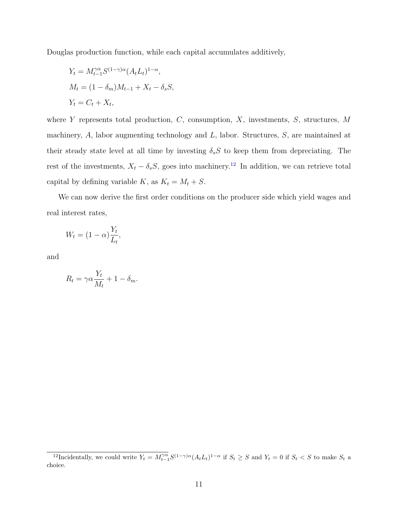Douglas production function, while each capital accumulates additively,

$$
Y_t = M_{t-1}^{\gamma \alpha} S^{(1-\gamma)\alpha} (A_t L_t)^{1-\alpha},
$$
  
\n
$$
M_t = (1 - \delta_m) M_{t-1} + X_t - \delta_s S,
$$
  
\n
$$
Y_t = C_t + X_t,
$$

where  $Y$  represents total production,  $C$ , consumption,  $X$ , investments,  $S$ , structures,  $M$ machinery,  $A$ , labor augmenting technology and  $L$ , labor. Structures,  $S$ , are maintained at their steady state level at all time by investing  $\delta_s S$  to keep them from depreciating. The rest of the investments,  $X_t - \delta_s S$ , goes into machinery.<sup>12</sup> In addition, we can retrieve total capital by defining variable K, as  $K_t = M_t + S$ .

We can now derive the first order conditions on the producer side which yield wages and real interest rates,

$$
W_t = (1 - \alpha) \frac{Y_t}{L_t},
$$

and

$$
R_t = \gamma \alpha \frac{Y_t}{M_t} + 1 - \delta_m.
$$

<sup>&</sup>lt;sup>12</sup>Incidentally, we could write  $Y_t = M_{t-1}^{\gamma \alpha} S^{(1-\gamma)\alpha} (A_t L_t)^{1-\alpha}$  if  $S_t \geq S$  and  $Y_t = 0$  if  $S_t < S$  to make  $S_t$  a choice.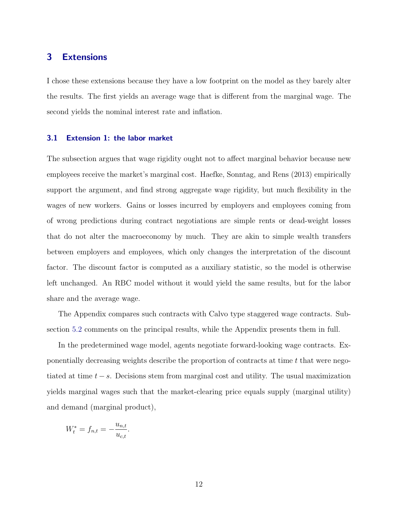# 3 Extensions

I chose these extensions because they have a low footprint on the model as they barely alter the results. The first yields an average wage that is different from the marginal wage. The second yields the nominal interest rate and inflation.

#### 3.1 Extension 1: the labor market

The subsection argues that wage rigidity ought not to affect marginal behavior because new employees receive the market's marginal cost. Haefke, Sonntag, and Rens (2013) empirically support the argument, and find strong aggregate wage rigidity, but much flexibility in the wages of new workers. Gains or losses incurred by employers and employees coming from of wrong predictions during contract negotiations are simple rents or dead-weight losses that do not alter the macroeconomy by much. They are akin to simple wealth transfers between employers and employees, which only changes the interpretation of the discount factor. The discount factor is computed as a auxiliary statistic, so the model is otherwise left unchanged. An RBC model without it would yield the same results, but for the labor share and the average wage.

The Appendix compares such contracts with Calvo type staggered wage contracts. Subsection 5.2 comments on the principal results, while the Appendix presents them in full.

In the predetermined wage model, agents negotiate forward-looking wage contracts. Exponentially decreasing weights describe the proportion of contracts at time t that were negotiated at time  $t - s$ . Decisions stem from marginal cost and utility. The usual maximization yields marginal wages such that the market-clearing price equals supply (marginal utility) and demand (marginal product),

$$
W_t^* = f_{n,t} = -\frac{u_{n,t}}{u_{c,t}}.
$$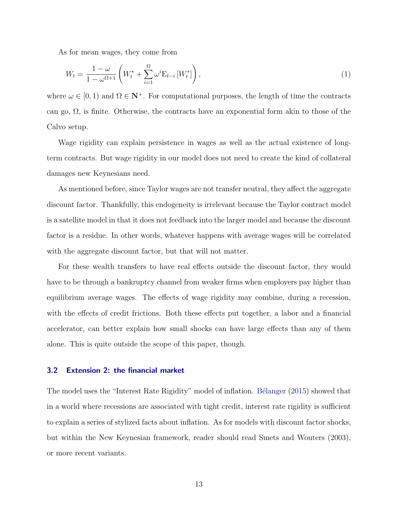As for mean wages, they come from

$$
W_t = \frac{1 - \omega}{1 - \omega^{\Omega + 1}} \left( W_t^* + \sum_{i=1}^{\Omega} \omega^i \mathbf{E}_{t-i} \left[ W_t^* \right] \right), \tag{1}
$$

where  $\omega \in [0,1)$  and  $\Omega \in \mathbb{N}^+$ . For computational purposes, the length of time the contracts can go,  $\Omega$ , is finite. Otherwise, the contracts have an exponential form akin to those of the Calvo setup.

Wage rigidity can explain persistence in wages as well as the actual existence of longterm contracts. But wage rigidity in our model does not need to create the kind of collateral damages new Keynesians need.

As mentioned before, since Taylor wages are not transfer neutral, they affect the aggregate discount factor. Thankfully, this endogeneity is irrelevant because the Taylor contract model is a satellite model in that it does not feedback into the larger model and because the discount factor is a residue. In other words, whatever happens with average wages will be correlated with the aggregate discount factor, but that will not matter.

For these wealth transfers to have real effects outside the discount factor, they would have to be through a bankruptcy channel from weaker firms when employers pay higher than equilibrium average wages. The effects of wage rigidity may combine, during a recession, with the effects of credit frictions. Both these effects put together, a labor and a financial accelerator, can better explain how small shocks can have large effects than any of them alone. This is quite outside the scope of this paper, though.

#### 3.2 Extension 2: the financial market

The model uses the "Interest Rate Rigidity" model of inflation. Bélanger (2015) showed that in a world where recessions are associated with tight credit, interest rate rigidity is sufficient to explain a series of stylized facts about inflation. As for models with discount factor shocks, but within the New Keynesian framework, reader should read Smets and Wouters (2003), or more recent variants.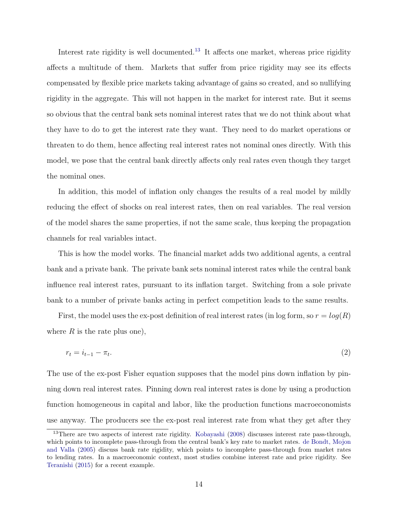Interest rate rigidity is well documented.<sup>13</sup> It affects one market, whereas price rigidity affects a multitude of them. Markets that suffer from price rigidity may see its effects compensated by flexible price markets taking advantage of gains so created, and so nullifying rigidity in the aggregate. This will not happen in the market for interest rate. But it seems so obvious that the central bank sets nominal interest rates that we do not think about what they have to do to get the interest rate they want. They need to do market operations or threaten to do them, hence affecting real interest rates not nominal ones directly. With this model, we pose that the central bank directly affects only real rates even though they target the nominal ones.

In addition, this model of inflation only changes the results of a real model by mildly reducing the effect of shocks on real interest rates, then on real variables. The real version of the model shares the same properties, if not the same scale, thus keeping the propagation channels for real variables intact.

This is how the model works. The financial market adds two additional agents, a central bank and a private bank. The private bank sets nominal interest rates while the central bank influence real interest rates, pursuant to its inflation target. Switching from a sole private bank to a number of private banks acting in perfect competition leads to the same results.

First, the model uses the ex-post definition of real interest rates (in log form, so  $r = log(R)$ ) where  $R$  is the rate plus one),

$$
r_t = i_{t-1} - \pi_t. \tag{2}
$$

The use of the ex-post Fisher equation supposes that the model pins down inflation by pinning down real interest rates. Pinning down real interest rates is done by using a production function homogeneous in capital and labor, like the production functions macroeconomists use anyway. The producers see the ex-post real interest rate from what they get after they

<sup>13</sup>There are two aspects of interest rate rigidity. Kobayashi (2008) discusses interest rate pass-through, which points to incomplete pass-through from the central bank's key rate to market rates. de Bondt, Mojon and Valla (2005) discuss bank rate rigidity, which points to incomplete pass-through from market rates to lending rates. In a macroeconomic context, most studies combine interest rate and price rigidity. See Teranishi (2015) for a recent example.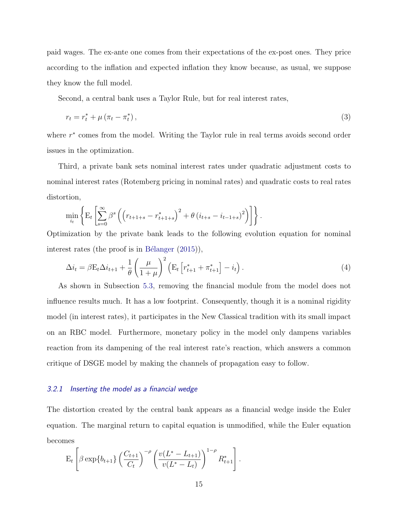paid wages. The ex-ante one comes from their expectations of the ex-post ones. They price according to the inflation and expected inflation they know because, as usual, we suppose they know the full model.

Second, a central bank uses a Taylor Rule, but for real interest rates,

$$
r_t = r_t^* + \mu \left(\pi_t - \pi_t^*\right),\tag{3}
$$

where  $r^*$  comes from the model. Writing the Taylor rule in real terms avoids second order issues in the optimization.

Third, a private bank sets nominal interest rates under quadratic adjustment costs to nominal interest rates (Rotemberg pricing in nominal rates) and quadratic costs to real rates distortion,

$$
\min_{i_t} \left\{ \mathcal{E}_t \left[ \sum_{s=0}^{\infty} \beta^s \left( \left( r_{t+1+s} - r_{t+1+s}^* \right)^2 + \theta \left( i_{t+s} - i_{t-1+s} \right)^2 \right) \right] \right\}.
$$

Optimization by the private bank leads to the following evolution equation for nominal interest rates (the proof is in Bélanger  $(2015)$ ),

$$
\Delta i_t = \beta \mathcal{E}_t \Delta i_{t+1} + \frac{1}{\theta} \left( \frac{\mu}{1+\mu} \right)^2 \left( \mathcal{E}_t \left[ r_{t+1}^* + \pi_{t+1}^* \right] - i_t \right). \tag{4}
$$

As shown in Subsection 5.3, removing the financial module from the model does not influence results much. It has a low footprint. Consequently, though it is a nominal rigidity model (in interest rates), it participates in the New Classical tradition with its small impact on an RBC model. Furthermore, monetary policy in the model only dampens variables reaction from its dampening of the real interest rate's reaction, which answers a common critique of DSGE model by making the channels of propagation easy to follow.

### 3.2.1 Inserting the model as a financial wedge

The distortion created by the central bank appears as a financial wedge inside the Euler equation. The marginal return to capital equation is unmodified, while the Euler equation becomes

$$
\mathbf{E}_{t}\left[\beta \exp\{b_{t+1}\}\left(\frac{C_{t+1}}{C_{t}}\right)^{-\rho}\left(\frac{v(L^{*}-L_{t+1})}{v(L^{*}-L_{t})}\right)^{1-\rho}R_{t+1}^{*}\right].
$$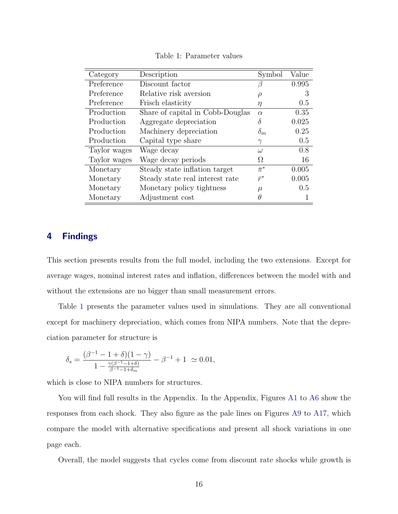| Category     | Description                      | Symbol        | Value |
|--------------|----------------------------------|---------------|-------|
| Preference   | Discount factor                  |               | 0.995 |
| Preference   | Relative risk aversion           | ρ             | 3     |
| Preference   | Frisch elasticity                | η             | 0.5   |
| Production   | Share of capital in Cobb-Douglas | $\alpha$      | 0.35  |
| Production   | Aggregate depreciation           | δ             | 0.025 |
| Production   | Machinery depreciation           | $\delta_m$    | 0.25  |
| Production   | Capital type share               | $\gamma$      | 0.5   |
| Taylor wages | Wage decay                       | $\omega$      | 0.8   |
| Taylor wages | Wage decay periods               | Ω.            | 16    |
| Monetary     | Steady state inflation target    | $\bar{\pi}^*$ | 0.005 |
| Monetary     | Steady state real interest rate  | $\bar{r}^*$   | 0.005 |
| Monetary     | Monetary policy tightness        | $\mu$         | 0.5   |
| Monetary     | Adjustment cost                  | Η             |       |

Table 1: Parameter values

# 4 Findings

This section presents results from the full model, including the two extensions. Except for average wages, nominal interest rates and inflation, differences between the model with and without the extensions are no bigger than small measurement errors.

Table 1 presents the parameter values used in simulations. They are all conventional except for machinery depreciation, which comes from NIPA numbers. Note that the depreciation parameter for structure is

$$
\delta_s = \frac{(\beta^{-1} - 1 + \delta)(1 - \gamma)}{1 - \frac{\gamma(\beta^{-1} - 1 + \delta)}{\beta^{-1} - 1 + \delta_m}} - \beta^{-1} + 1 \ \simeq 0.01,
$$

which is close to NIPA numbers for structures.

You will find full results in the Appendix. In the Appendix, Figures A1 to A6 show the responses from each shock. They also figure as the pale lines on Figures A9 to A17, which compare the model with alternative specifications and present all shock variations in one page each.

Overall, the model suggests that cycles come from discount rate shocks while growth is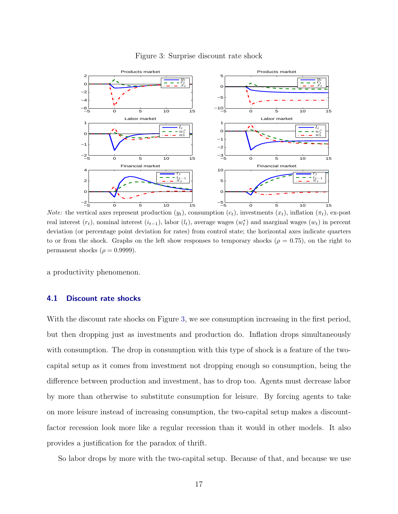

#### Figure 3: Surprise discount rate shock

*Note:* the vertical axes represent production  $(y_t)$ , consumption  $(c_t)$ , investments  $(x_t)$ , inflation  $(\pi_t)$ , ex-post real interest  $(r_t)$ , nominal interest  $(i_{t-1})$ , labor  $(l_t)$ , average wages  $(w_t^*)$  and marginal wages  $(w_t)$  in percent deviation (or percentage point deviation for rates) from control state; the horizontal axes indicate quarters to or from the shock. Graphs on the left show responses to temporary shocks ( $\rho = 0.75$ ), on the right to permanent shocks ( $\rho = 0.9999$ ).

a productivity phenomenon.

#### 4.1 Discount rate shocks

With the discount rate shocks on Figure 3, we see consumption increasing in the first period, but then dropping just as investments and production do. Inflation drops simultaneously with consumption. The drop in consumption with this type of shock is a feature of the twocapital setup as it comes from investment not dropping enough so consumption, being the difference between production and investment, has to drop too. Agents must decrease labor by more than otherwise to substitute consumption for leisure. By forcing agents to take on more leisure instead of increasing consumption, the two-capital setup makes a discountfactor recession look more like a regular recession than it would in other models. It also provides a justification for the paradox of thrift.

So labor drops by more with the two-capital setup. Because of that, and because we use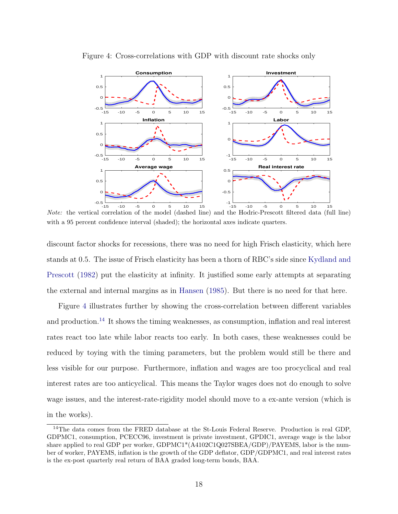

Figure 4: Cross-correlations with GDP with discount rate shocks only

Note: the vertical correlation of the model (dashed line) and the Hodric-Prescott filtered data (full line) with a 95 percent confidence interval (shaded); the horizontal axes indicate quarters.

discount factor shocks for recessions, there was no need for high Frisch elasticity, which here stands at 0.5. The issue of Frisch elasticity has been a thorn of RBC's side since Kydland and Prescott (1982) put the elasticity at infinity. It justified some early attempts at separating the external and internal margins as in Hansen (1985). But there is no need for that here.

Figure 4 illustrates further by showing the cross-correlation between different variables and production.<sup>14</sup> It shows the timing weaknesses, as consumption, inflation and real interest rates react too late while labor reacts too early. In both cases, these weaknesses could be reduced by toying with the timing parameters, but the problem would still be there and less visible for our purpose. Furthermore, inflation and wages are too procyclical and real interest rates are too anticyclical. This means the Taylor wages does not do enough to solve wage issues, and the interest-rate-rigidity model should move to a ex-ante version (which is in the works).

<sup>&</sup>lt;sup>14</sup>The data comes from the FRED database at the St-Louis Federal Reserve. Production is real GDP, GDPMC1, consumption, PCECC96, investment is private investment, GPDIC1, average wage is the labor share applied to real GDP per worker, GDPMC1\*(A4102C1Q027SBEA/GDP)/PAYEMS, labor is the number of worker, PAYEMS, inflation is the growth of the GDP deflator, GDP/GDPMC1, and real interest rates is the ex-post quarterly real return of BAA graded long-term bonds, BAA.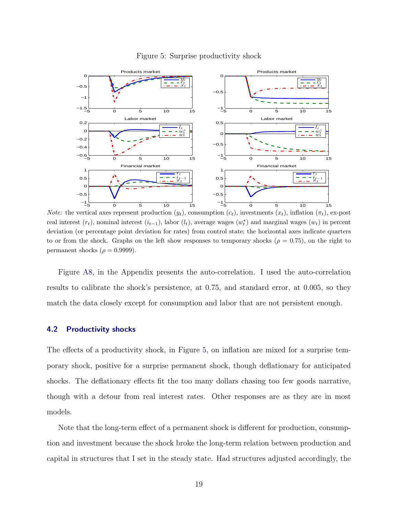

#### Figure 5: Surprise productivity shock

*Note:* the vertical axes represent production  $(y_t)$ , consumption  $(c_t)$ , investments  $(x_t)$ , inflation  $(\pi_t)$ , ex-post real interest  $(r_t)$ , nominal interest  $(i_{t-1})$ , labor  $(l_t)$ , average wages  $(w_t^*)$  and marginal wages  $(w_t)$  in percent deviation (or percentage point deviation for rates) from control state; the horizontal axes indicate quarters to or from the shock. Graphs on the left show responses to temporary shocks ( $\rho = 0.75$ ), on the right to permanent shocks ( $\rho = 0.9999$ ).

Figure A8, in the Appendix presents the auto-correlation. I used the auto-correlation results to calibrate the shock's persistence, at 0.75, and standard error, at 0.005, so they match the data closely except for consumption and labor that are not persistent enough.

#### 4.2 Productivity shocks

The effects of a productivity shock, in Figure 5, on inflation are mixed for a surprise temporary shock, positive for a surprise permanent shock, though deflationary for anticipated shocks. The deflationary effects fit the too many dollars chasing too few goods narrative, though with a detour from real interest rates. Other responses are as they are in most models.

Note that the long-term effect of a permanent shock is different for production, consumption and investment because the shock broke the long-term relation between production and capital in structures that I set in the steady state. Had structures adjusted accordingly, the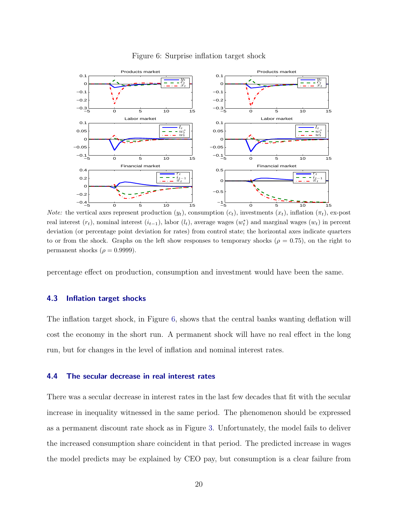

#### Figure 6: Surprise inflation target shock

*Note:* the vertical axes represent production  $(y_t)$ , consumption  $(c_t)$ , investments  $(x_t)$ , inflation  $(\pi_t)$ , ex-post real interest  $(r_t)$ , nominal interest  $(i_{t-1})$ , labor  $(l_t)$ , average wages  $(w_t^*)$  and marginal wages  $(w_t)$  in percent deviation (or percentage point deviation for rates) from control state; the horizontal axes indicate quarters to or from the shock. Graphs on the left show responses to temporary shocks ( $\rho = 0.75$ ), on the right to permanent shocks ( $\rho = 0.9999$ ).

percentage effect on production, consumption and investment would have been the same.

#### 4.3 Inflation target shocks

The inflation target shock, in Figure 6, shows that the central banks wanting deflation will cost the economy in the short run. A permanent shock will have no real effect in the long run, but for changes in the level of inflation and nominal interest rates.

#### 4.4 The secular decrease in real interest rates

There was a secular decrease in interest rates in the last few decades that fit with the secular increase in inequality witnessed in the same period. The phenomenon should be expressed as a permanent discount rate shock as in Figure 3. Unfortunately, the model fails to deliver the increased consumption share coincident in that period. The predicted increase in wages the model predicts may be explained by CEO pay, but consumption is a clear failure from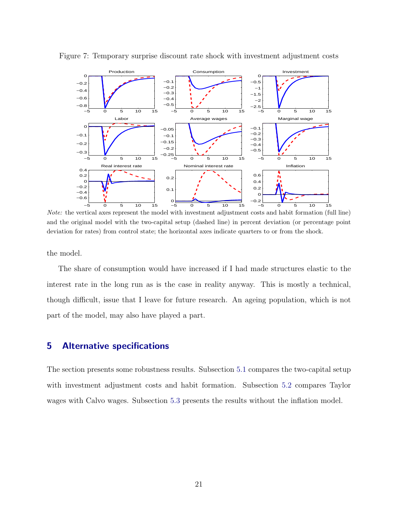

Figure 7: Temporary surprise discount rate shock with investment adjustment costs

Note: the vertical axes represent the model with investment adjustment costs and habit formation (full line) and the original model with the two-capital setup (dashed line) in percent deviation (or percentage point deviation for rates) from control state; the horizontal axes indicate quarters to or from the shock.

the model.

The share of consumption would have increased if I had made structures elastic to the interest rate in the long run as is the case in reality anyway. This is mostly a technical, though difficult, issue that I leave for future research. An ageing population, which is not part of the model, may also have played a part.

## 5 Alternative specifications

The section presents some robustness results. Subsection 5.1 compares the two-capital setup with investment adjustment costs and habit formation. Subsection 5.2 compares Taylor wages with Calvo wages. Subsection 5.3 presents the results without the inflation model.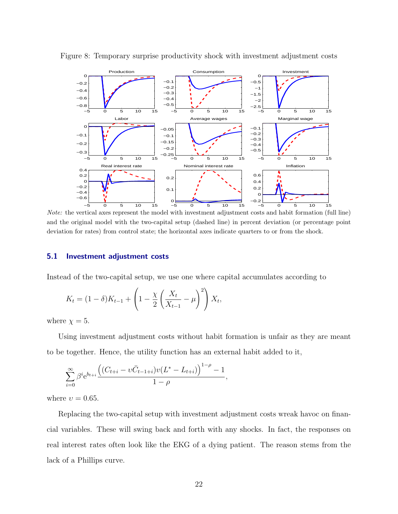

Figure 8: Temporary surprise productivity shock with investment adjustment costs

Note: the vertical axes represent the model with investment adjustment costs and habit formation (full line) and the original model with the two-capital setup (dashed line) in percent deviation (or percentage point deviation for rates) from control state; the horizontal axes indicate quarters to or from the shock.

#### 5.1 Investment adjustment costs

Instead of the two-capital setup, we use one where capital accumulates according to

$$
K_t = (1 - \delta)K_{t-1} + \left(1 - \frac{\chi}{2} \left(\frac{X_t}{X_{t-1}} - \mu\right)^2\right)X_t,
$$

where  $\chi = 5$ .

Using investment adjustment costs without habit formation is unfair as they are meant to be together. Hence, the utility function has an external habit added to it,

$$
\sum_{i=0}^{\infty} \beta^i e^{b_{t+i}} \frac{\left( (C_{t+i} - v\overline{C}_{t-1+i}) v (L^* - L_{t+i}) \right)^{1-\rho} - 1}{1-\rho},
$$

where  $v = 0.65$ .

Replacing the two-capital setup with investment adjustment costs wreak havoc on financial variables. These will swing back and forth with any shocks. In fact, the responses on real interest rates often look like the EKG of a dying patient. The reason stems from the lack of a Phillips curve.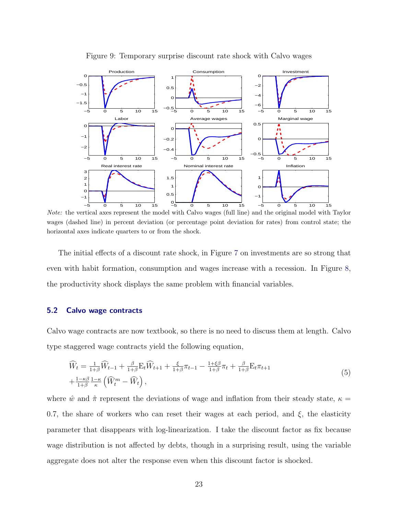

Figure 9: Temporary surprise discount rate shock with Calvo wages

Note: the vertical axes represent the model with Calvo wages (full line) and the original model with Taylor wages (dashed line) in percent deviation (or percentage point deviation for rates) from control state; the horizontal axes indicate quarters to or from the shock.

The initial effects of a discount rate shock, in Figure 7 on investments are so strong that even with habit formation, consumption and wages increase with a recession. In Figure 8, the productivity shock displays the same problem with financial variables.

## 5.2 Calvo wage contracts

Calvo wage contracts are now textbook, so there is no need to discuss them at length. Calvo type staggered wage contracts yield the following equation,

$$
\widehat{W}_t = \frac{1}{1+\beta} \widehat{W}_{t-1} + \frac{\beta}{1+\beta} \mathcal{E}_t \widehat{W}_{t+1} + \frac{\xi}{1+\beta} \pi_{t-1} - \frac{1+\xi\beta}{1+\beta} \pi_t + \frac{\beta}{1+\beta} \mathcal{E}_t \pi_{t+1} \n+ \frac{1-\kappa\beta}{1+\beta} \frac{1-\kappa}{\kappa} \left( \widehat{W}_t^m - \widehat{W}_t \right),
$$
\n(5)

where  $\hat{w}$  and  $\hat{\pi}$  represent the deviations of wage and inflation from their steady state,  $\kappa =$ 0.7, the share of workers who can reset their wages at each period, and  $\xi$ , the elasticity parameter that disappears with log-linearization. I take the discount factor as fix because wage distribution is not affected by debts, though in a surprising result, using the variable aggregate does not alter the response even when this discount factor is shocked.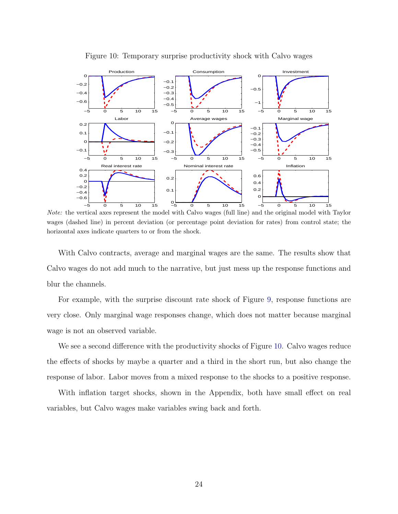

Figure 10: Temporary surprise productivity shock with Calvo wages

Note: the vertical axes represent the model with Calvo wages (full line) and the original model with Taylor wages (dashed line) in percent deviation (or percentage point deviation for rates) from control state; the horizontal axes indicate quarters to or from the shock.

With Calvo contracts, average and marginal wages are the same. The results show that Calvo wages do not add much to the narrative, but just mess up the response functions and blur the channels.

For example, with the surprise discount rate shock of Figure 9, response functions are very close. Only marginal wage responses change, which does not matter because marginal wage is not an observed variable.

We see a second difference with the productivity shocks of Figure 10. Calvo wages reduce the effects of shocks by maybe a quarter and a third in the short run, but also change the response of labor. Labor moves from a mixed response to the shocks to a positive response.

With inflation target shocks, shown in the Appendix, both have small effect on real variables, but Calvo wages make variables swing back and forth.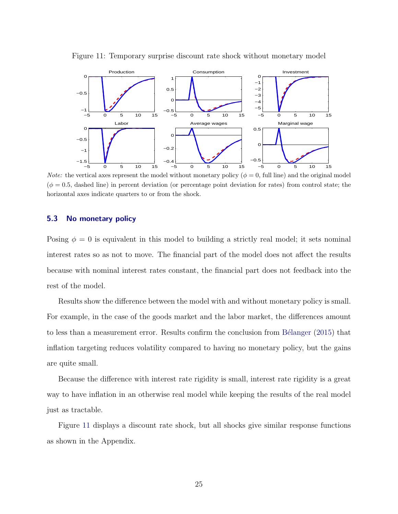

Figure 11: Temporary surprise discount rate shock without monetary model

*Note:* the vertical axes represent the model without monetary policy ( $\phi = 0$ , full line) and the original model  $(\phi = 0.5,$  dashed line) in percent deviation (or percentage point deviation for rate) from control state; the horizontal axes indicate quarters to or from the shock.

### 5.3 No monetary policy

Posing  $\phi = 0$  is equivalent in this model to building a strictly real model; it sets nominal interest rates so as not to move. The financial part of the model does not affect the results because with nominal interest rates constant, the financial part does not feedback into the rest of the model.

Results show the difference between the model with and without monetary policy is small. For example, in the case of the goods market and the labor market, the differences amount to less than a measurement error. Results confirm the conclusion from Bélanger (2015) that inflation targeting reduces volatility compared to having no monetary policy, but the gains are quite small.

Because the difference with interest rate rigidity is small, interest rate rigidity is a great way to have inflation in an otherwise real model while keeping the results of the real model just as tractable.

Figure 11 displays a discount rate shock, but all shocks give similar response functions as shown in the Appendix.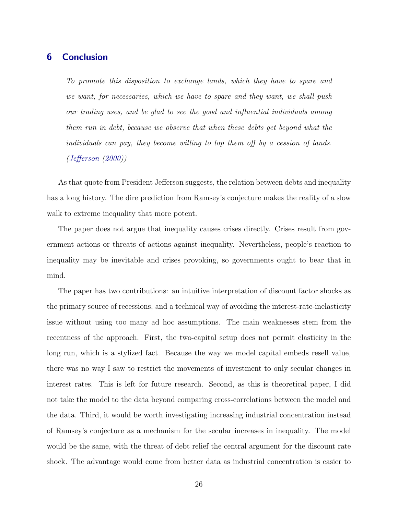# 6 Conclusion

To promote this disposition to exchange lands, which they have to spare and we want, for necessaries, which we have to spare and they want, we shall push our trading uses, and be glad to see the good and influential individuals among them run in debt, because we observe that when these debts get beyond what the individuals can pay, they become willing to lop them off by a cession of lands. (Jefferson (2000))

As that quote from President Jefferson suggests, the relation between debts and inequality has a long history. The dire prediction from Ramsey's conjecture makes the reality of a slow walk to extreme inequality that more potent.

The paper does not argue that inequality causes crises directly. Crises result from government actions or threats of actions against inequality. Nevertheless, people's reaction to inequality may be inevitable and crises provoking, so governments ought to bear that in mind.

The paper has two contributions: an intuitive interpretation of discount factor shocks as the primary source of recessions, and a technical way of avoiding the interest-rate-inelasticity issue without using too many ad hoc assumptions. The main weaknesses stem from the recentness of the approach. First, the two-capital setup does not permit elasticity in the long run, which is a stylized fact. Because the way we model capital embeds resell value, there was no way I saw to restrict the movements of investment to only secular changes in interest rates. This is left for future research. Second, as this is theoretical paper, I did not take the model to the data beyond comparing cross-correlations between the model and the data. Third, it would be worth investigating increasing industrial concentration instead of Ramsey's conjecture as a mechanism for the secular increases in inequality. The model would be the same, with the threat of debt relief the central argument for the discount rate shock. The advantage would come from better data as industrial concentration is easier to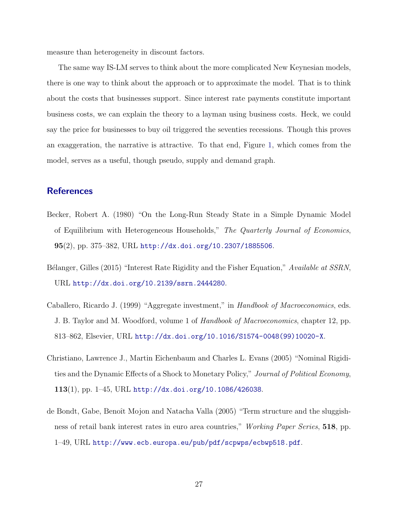measure than heterogeneity in discount factors.

The same way IS-LM serves to think about the more complicated New Keynesian models, there is one way to think about the approach or to approximate the model. That is to think about the costs that businesses support. Since interest rate payments constitute important business costs, we can explain the theory to a layman using business costs. Heck, we could say the price for businesses to buy oil triggered the seventies recessions. Though this proves an exaggeration, the narrative is attractive. To that end, Figure 1, which comes from the model, serves as a useful, though pseudo, supply and demand graph.

# **References**

- Becker, Robert A. (1980) "On the Long-Run Steady State in a Simple Dynamic Model of Equilibrium with Heterogeneous Households," The Quarterly Journal of Economics, 95(2), pp. 375–382, URL http://dx.doi.org/10.2307/1885506.
- Bélanger, Gilles (2015) "Interest Rate Rigidity and the Fisher Equation," Available at SSRN, URL http://dx.doi.org/10.2139/ssrn.2444280.
- Caballero, Ricardo J. (1999) "Aggregate investment," in Handbook of Macroeconomics, eds. J. B. Taylor and M. Woodford, volume 1 of Handbook of Macroeconomics, chapter 12, pp. 813–862, Elsevier, URL http://dx.doi.org/10.1016/S1574-0048(99)10020-X.
- Christiano, Lawrence J., Martin Eichenbaum and Charles L. Evans (2005) "Nominal Rigidities and the Dynamic Effects of a Shock to Monetary Policy," Journal of Political Economy, 113(1), pp. 1–45, URL http://dx.doi.org/10.1086/426038.
- de Bondt, Gabe, Benoît Mojon and Natacha Valla (2005) "Term structure and the sluggishness of retail bank interest rates in euro area countries," Working Paper Series, 518, pp. 1–49, URL http://www.ecb.europa.eu/pub/pdf/scpwps/ecbwp518.pdf.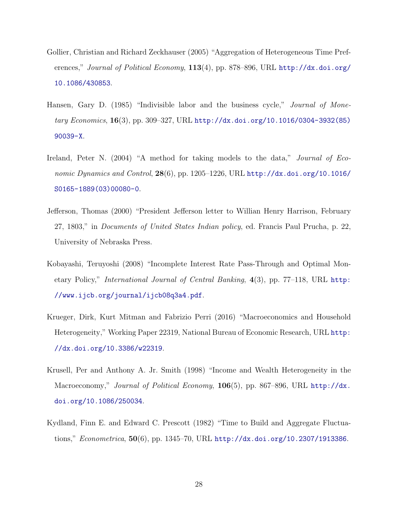- Gollier, Christian and Richard Zeckhauser (2005) "Aggregation of Heterogeneous Time Preferences," Journal of Political Economy, 113(4), pp. 878-896, URL http://dx.doi.org/ 10.1086/430853.
- Hansen, Gary D. (1985) "Indivisible labor and the business cycle," *Journal of Mone*tary Economics, 16(3), pp. 309–327, URL http://dx.doi.org/10.1016/0304-3932(85) 90039-X.
- Ireland, Peter N. (2004) "A method for taking models to the data," *Journal of Eco*nomic Dynamics and Control,  $28(6)$ , pp. 1205–1226, URL http://dx.doi.org/10.1016/ S0165-1889(03)00080-0.
- Jefferson, Thomas (2000) "President Jefferson letter to Willian Henry Harrison, February 27, 1803," in Documents of United States Indian policy, ed. Francis Paul Prucha, p. 22, University of Nebraska Press.
- Kobayashi, Teruyoshi (2008) "Incomplete Interest Rate Pass-Through and Optimal Monetary Policy," International Journal of Central Banking, 4(3), pp. 77–118, URL http: //www.ijcb.org/journal/ijcb08q3a4.pdf.
- Krueger, Dirk, Kurt Mitman and Fabrizio Perri (2016) "Macroeconomics and Household Heterogeneity," Working Paper 22319, National Bureau of Economic Research, URL http: //dx.doi.org/10.3386/w22319.
- Krusell, Per and Anthony A. Jr. Smith (1998) "Income and Wealth Heterogeneity in the Macroeconomy," Journal of Political Economy,  $106(5)$ , pp. 867–896, URL http://dx. doi.org/10.1086/250034.
- Kydland, Finn E. and Edward C. Prescott (1982) "Time to Build and Aggregate Fluctuations," *Econometrica*,  $50(6)$ , pp. 1345–70, URL http://dx.doi.org/10.2307/1913386.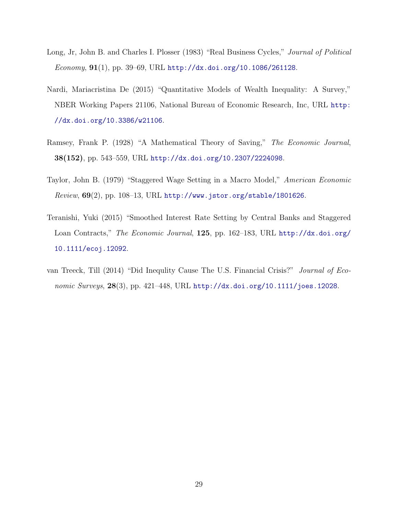- Long, Jr, John B. and Charles I. Plosser (1983) "Real Business Cycles," Journal of Political Economy,  $91(1)$ , pp. 39–69, URL http://dx.doi.org/10.1086/261128.
- Nardi, Mariacristina De (2015) "Quantitative Models of Wealth Inequality: A Survey," NBER Working Papers 21106, National Bureau of Economic Research, Inc, URL http: //dx.doi.org/10.3386/w21106.
- Ramsey, Frank P. (1928) "A Mathematical Theory of Saving," The Economic Journal, 38(152), pp. 543–559, URL http://dx.doi.org/10.2307/2224098.
- Taylor, John B. (1979) "Staggered Wage Setting in a Macro Model," American Economic  $Review, 69(2), pp. 108-13, URL <http://www.jstor.org/stable/1801626>.$
- Teranishi, Yuki (2015) "Smoothed Interest Rate Setting by Central Banks and Staggered Loan Contracts," The Economic Journal, 125, pp. 162–183, URL http://dx.doi.org/ 10.1111/ecoj.12092.
- van Treeck, Till (2014) "Did Inequlity Cause The U.S. Financial Crisis?" Journal of Economic Surveys,  $28(3)$ , pp. 421–448, URL http://dx.doi.org/10.1111/joes.12028.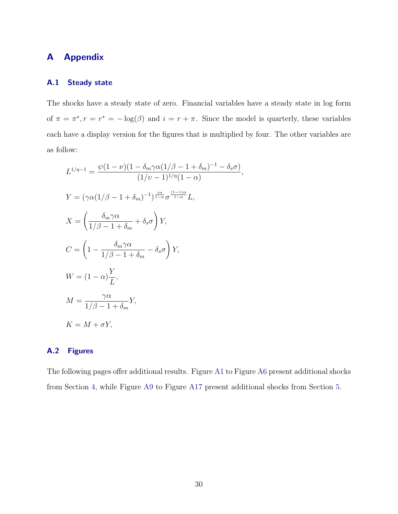# A Appendix

## A.1 Steady state

The shocks have a steady state of zero. Financial variables have a steady state in log form of  $\pi = \pi^*, r = r^* = -\log(\beta)$  and  $i = r + \pi$ . Since the model is quarterly, these variables each have a display version for the figures that is multiplied by four. The other variables are as follow:

$$
L^{1/\eta-1} = \frac{\psi(1-\nu)(1-\delta_m\gamma\alpha(1/\beta-1+\delta_m)^{-1}-\delta_s\sigma)}{(1/\nu-1)^{1/\eta}(1-\alpha)},
$$
  
\n
$$
Y = (\gamma\alpha(1/\beta-1+\delta_m)^{-1})^{\frac{\gamma\alpha}{1-\alpha}}\sigma^{\frac{(1-\gamma)\alpha}{1-\alpha}}L,
$$
  
\n
$$
X = \left(\frac{\delta_m\gamma\alpha}{1/\beta-1+\delta_m}+\delta_s\sigma\right)Y,
$$
  
\n
$$
C = \left(1 - \frac{\delta_m\gamma\alpha}{1/\beta-1+\delta_m} - \delta_s\sigma\right)Y,
$$
  
\n
$$
W = (1-\alpha)\frac{Y}{L},
$$
  
\n
$$
M = \frac{\gamma\alpha}{1/\beta-1+\delta_m}Y,
$$
  
\n
$$
K = M + \sigma Y,
$$

## A.2 Figures

The following pages offer additional results. Figure A1 to Figure A6 present additional shocks from Section 4, while Figure A9 to Figure A17 present additional shocks from Section 5.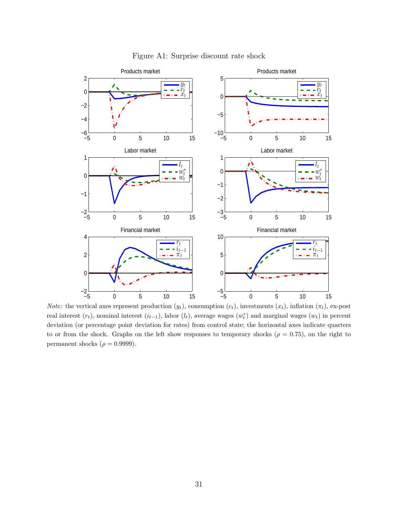

Figure A1: Surprise discount rate shock

Note: the vertical axes represent production  $(y_t)$ , consumption  $(c_t)$ , investments  $(x_t)$ , inflation  $(\pi_t)$ , ex-post real interest  $(r_t)$ , nominal interest  $(i_{t-1})$ , labor  $(l_t)$ , average wages  $(w_t^*)$  and marginal wages  $(w_t)$  in percent deviation (or percentage point deviation for rates) from control state; the horizontal axes indicate quarters to or from the shock. Graphs on the left show responses to temporary shocks ( $\rho = 0.75$ ), on the right to permanent shocks ( $\rho = 0.9999$ ).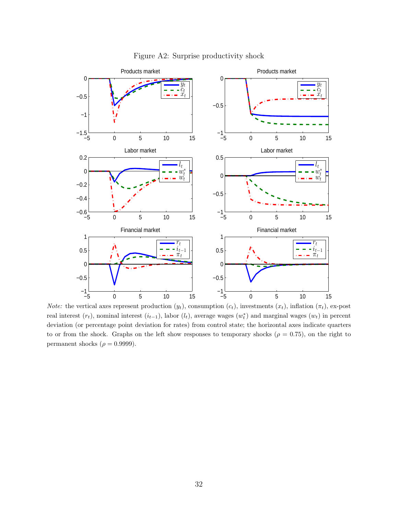

Figure A2: Surprise productivity shock

Note: the vertical axes represent production  $(y_t)$ , consumption  $(c_t)$ , investments  $(x_t)$ , inflation  $(\pi_t)$ , ex-post real interest  $(r_t)$ , nominal interest  $(i_{t-1})$ , labor  $(l_t)$ , average wages  $(w_t^*)$  and marginal wages  $(w_t)$  in percent deviation (or percentage point deviation for rates) from control state; the horizontal axes indicate quarters to or from the shock. Graphs on the left show responses to temporary shocks ( $\rho = 0.75$ ), on the right to permanent shocks ( $\rho = 0.9999$ ).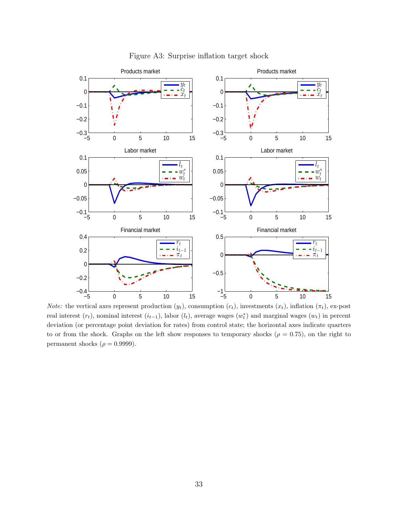

Figure A3: Surprise inflation target shock

Note: the vertical axes represent production  $(y_t)$ , consumption  $(c_t)$ , investments  $(x_t)$ , inflation  $(\pi_t)$ , ex-post real interest  $(r_t)$ , nominal interest  $(i_{t-1})$ , labor  $(l_t)$ , average wages  $(w_t^*)$  and marginal wages  $(w_t)$  in percent deviation (or percentage point deviation for rates) from control state; the horizontal axes indicate quarters to or from the shock. Graphs on the left show responses to temporary shocks ( $\rho = 0.75$ ), on the right to permanent shocks ( $\rho = 0.9999$ ).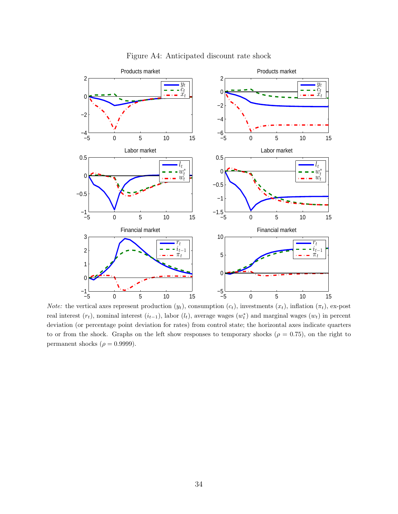

## Figure A4: Anticipated discount rate shock

Note: the vertical axes represent production  $(y_t)$ , consumption  $(c_t)$ , investments  $(x_t)$ , inflation  $(\pi_t)$ , ex-post real interest  $(r_t)$ , nominal interest  $(i_{t-1})$ , labor  $(l_t)$ , average wages  $(w_t^*)$  and marginal wages  $(w_t)$  in percent deviation (or percentage point deviation for rates) from control state; the horizontal axes indicate quarters to or from the shock. Graphs on the left show responses to temporary shocks ( $\rho = 0.75$ ), on the right to permanent shocks ( $\rho = 0.9999$ ).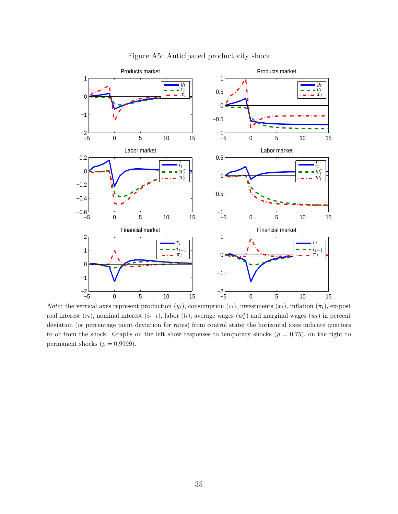

Figure A5: Anticipated productivity shock

Note: the vertical axes represent production  $(y_t)$ , consumption  $(c_t)$ , investments  $(x_t)$ , inflation  $(\pi_t)$ , ex-post real interest  $(r_t)$ , nominal interest  $(i_{t-1})$ , labor  $(l_t)$ , average wages  $(w_t^*)$  and marginal wages  $(w_t)$  in percent deviation (or percentage point deviation for rates) from control state; the horizontal axes indicate quarters to or from the shock. Graphs on the left show responses to temporary shocks ( $\rho = 0.75$ ), on the right to permanent shocks ( $\rho = 0.9999$ ).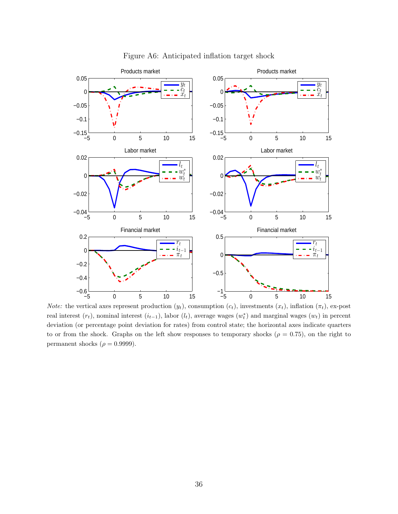

Figure A6: Anticipated inflation target shock

Note: the vertical axes represent production  $(y_t)$ , consumption  $(c_t)$ , investments  $(x_t)$ , inflation  $(\pi_t)$ , ex-post real interest  $(r_t)$ , nominal interest  $(i_{t-1})$ , labor  $(l_t)$ , average wages  $(w_t^*)$  and marginal wages  $(w_t)$  in percent deviation (or percentage point deviation for rates) from control state; the horizontal axes indicate quarters to or from the shock. Graphs on the left show responses to temporary shocks ( $\rho = 0.75$ ), on the right to permanent shocks ( $\rho = 0.9999$ ).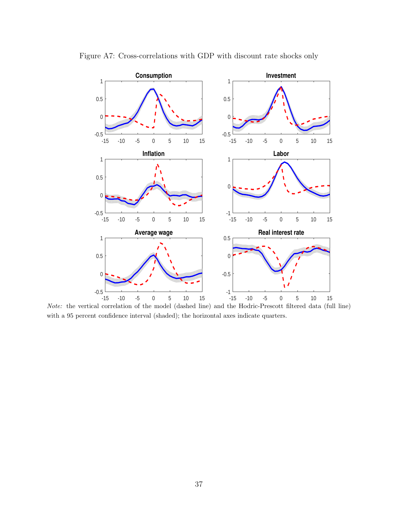

Figure A7: Cross-correlations with GDP with discount rate shocks only

Note: the vertical correlation of the model (dashed line) and the Hodric-Prescott filtered data (full line) with a 95 percent confidence interval (shaded); the horizontal axes indicate quarters.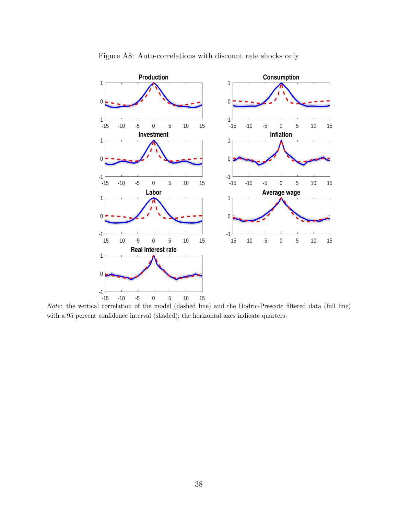

Figure A8: Auto-correlations with discount rate shocks only

Note: the vertical correlation of the model (dashed line) and the Hodric-Prescott filtered data (full line) with a 95 percent confidence interval (shaded); the horizontal axes indicate quarters.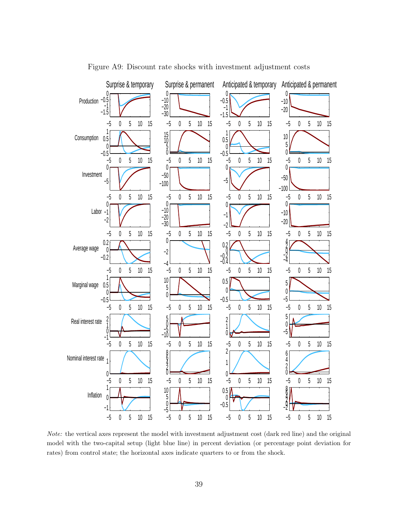

Figure A9: Discount rate shocks with investment adjustment costs

Note: the vertical axes represent the model with investment adjustment cost (dark red line) and the original model with the two-capital setup (light blue line) in percent deviation (or percentage point deviation for rates) from control state; the horizontal axes indicate quarters to or from the shock.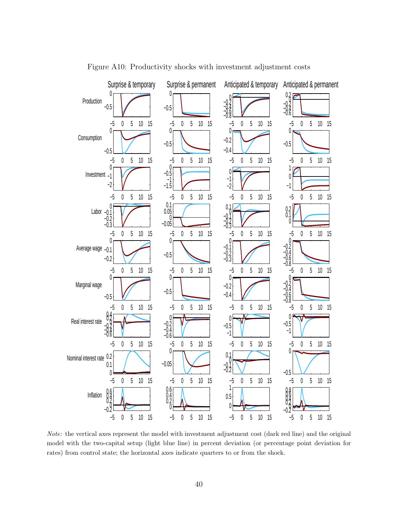

Figure A10: Productivity shocks with investment adjustment costs

Note: the vertical axes represent the model with investment adjustment cost (dark red line) and the original model with the two-capital setup (light blue line) in percent deviation (or percentage point deviation for rates) from control state; the horizontal axes indicate quarters to or from the shock.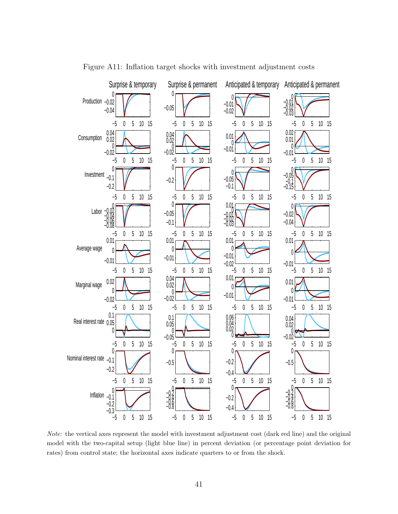

Figure A11: Inflation target shocks with investment adjustment costs

Note: the vertical axes represent the model with investment adjustment cost (dark red line) and the original model with the two-capital setup (light blue line) in percent deviation (or percentage point deviation for rates) from control state; the horizontal axes indicate quarters to or from the shock.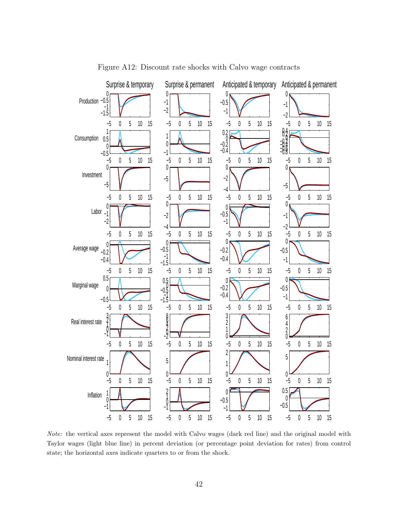

Figure A12: Discount rate shocks with Calvo wage contracts

Note: the vertical axes represent the model with Calvo wages (dark red line) and the original model with Taylor wages (light blue line) in percent deviation (or percentage point deviation for rates) from control state; the horizontal axes indicate quarters to or from the shock.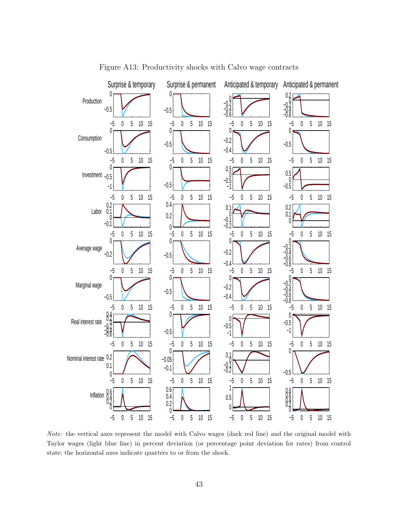

Figure A13: Productivity shocks with Calvo wage contracts

Note: the vertical axes represent the model with Calvo wages (dark red line) and the original model with Taylor wages (light blue line) in percent deviation (or percentage point deviation for rates) from control state; the horizontal axes indicate quarters to or from the shock.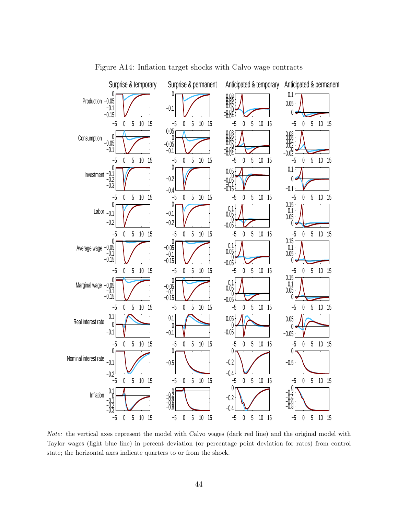

Figure A14: Inflation target shocks with Calvo wage contracts

Note: the vertical axes represent the model with Calvo wages (dark red line) and the original model with Taylor wages (light blue line) in percent deviation (or percentage point deviation for rates) from control state; the horizontal axes indicate quarters to or from the shock.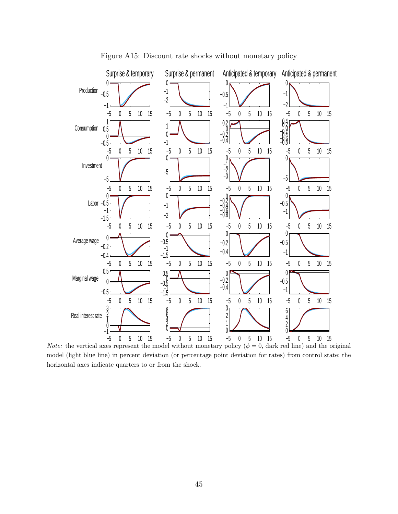

Figure A15: Discount rate shocks without monetary policy

*Note:* the vertical axes represent the model without monetary policy  $(\phi = 0, \text{ dark red line})$  and the original model (light blue line) in percent deviation (or percentage point deviation for rates) from control state; the horizontal axes indicate quarters to or from the shock.

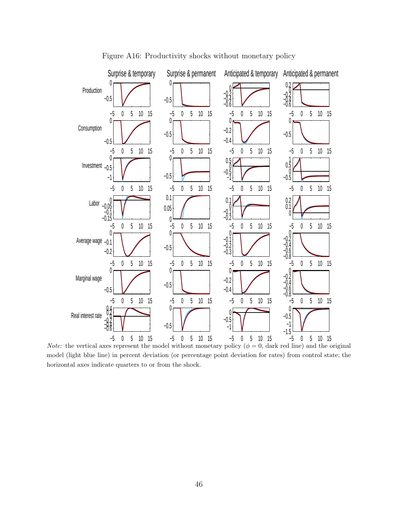

Figure A16: Productivity shocks without monetary policy

*Note:* the vertical axes represent the model with out monetary policy  $(\phi = 0)$ , dark red line) and the original model (light blue line) in percent deviation (or percentage point deviation for rates) from control state; the horizontal axes indicate quarters to or from the shock.